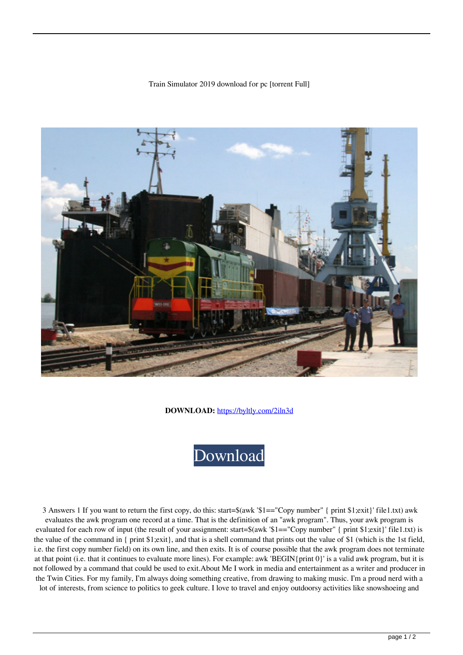## Train Simulator 2019 download for pc [torrent Full]



**DOWNLOAD:** <https://byltly.com/2iln3d>



 3 Answers 1 If you want to return the first copy, do this: start=\$(awk '\$1=="Copy number" { print \$1;exit}' file1.txt) awk evaluates the awk program one record at a time. That is the definition of an "awk program". Thus, your awk program is evaluated for each row of input (the result of your assignment: start=\$(awk '\$1=="Copy number" { print \$1;exit}' file1.txt) is the value of the command in { print \$1;exit}, and that is a shell command that prints out the value of \$1 (which is the 1st field, i.e. the first copy number field) on its own line, and then exits. It is of course possible that the awk program does not terminate at that point (i.e. that it continues to evaluate more lines). For example: awk 'BEGIN{print 0}' is a valid awk program, but it is not followed by a command that could be used to exit.About Me I work in media and entertainment as a writer and producer in the Twin Cities. For my family, I'm always doing something creative, from drawing to making music. I'm a proud nerd with a lot of interests, from science to politics to geek culture. I love to travel and enjoy outdoorsy activities like snowshoeing and